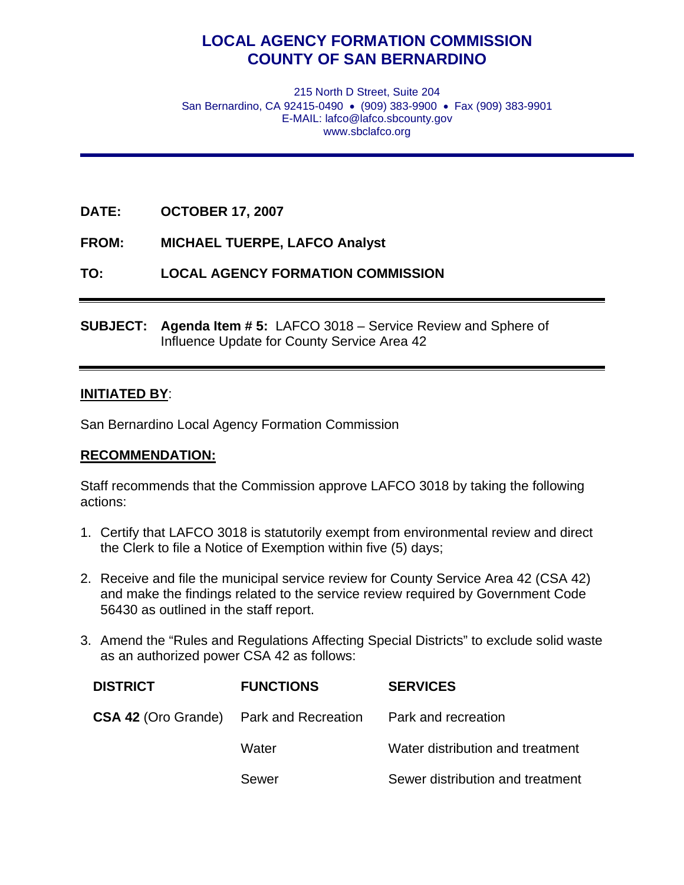# **LOCAL AGENCY FORMATION COMMISSION COUNTY OF SAN BERNARDINO**

215 North D Street, Suite 204 San Bernardino, CA 92415-0490 • (909) 383-9900 • Fax (909) 383-9901 E-MAIL: lafco@lafco.sbcounty.gov www.sbclafco.org

- **DATE: OCTOBER 17, 2007**
- **FROM: MICHAEL TUERPE, LAFCO Analyst**
- **TO: LOCAL AGENCY FORMATION COMMISSION**
- **SUBJECT: Agenda Item # 5:** LAFCO 3018 Service Review and Sphere of Influence Update for County Service Area 42

#### **INITIATED BY**:

San Bernardino Local Agency Formation Commission

#### **RECOMMENDATION:**

Staff recommends that the Commission approve LAFCO 3018 by taking the following actions:

- 1. Certify that LAFCO 3018 is statutorily exempt from environmental review and direct the Clerk to file a Notice of Exemption within five (5) days;
- 2. Receive and file the municipal service review for County Service Area 42 (CSA 42) and make the findings related to the service review required by Government Code 56430 as outlined in the staff report.
- 3. Amend the "Rules and Regulations Affecting Special Districts" to exclude solid waste as an authorized power CSA 42 as follows:

| <b>DISTRICT</b> | <b>FUNCTIONS</b>                                                   | <b>SERVICES</b>                  |
|-----------------|--------------------------------------------------------------------|----------------------------------|
|                 | <b>CSA 42 (Oro Grande)</b> Park and Recreation Park and recreation |                                  |
|                 | Water                                                              | Water distribution and treatment |
|                 | Sewer                                                              | Sewer distribution and treatment |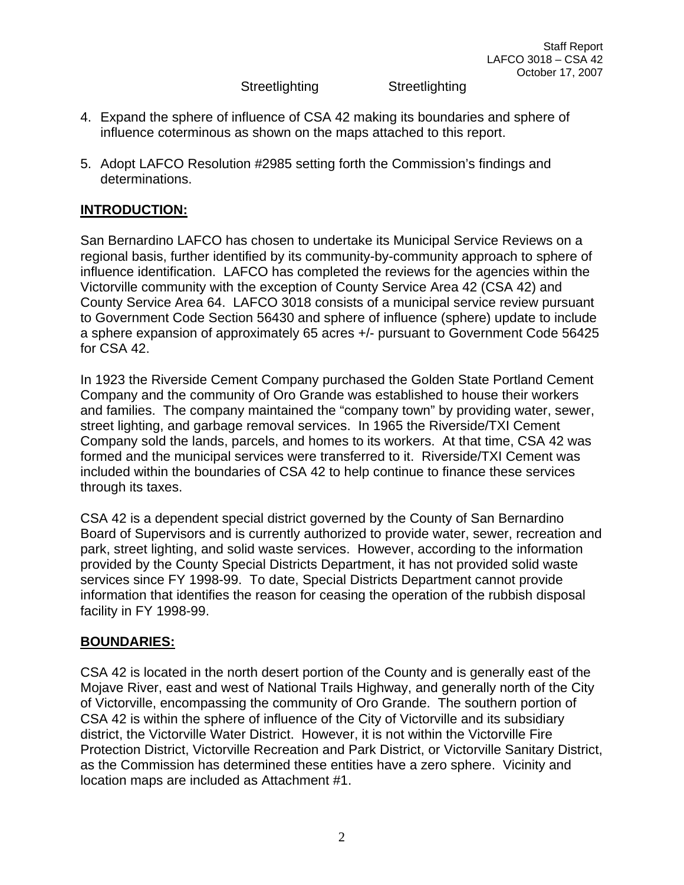Staff Report LAFCO 3018 – CSA 42 October 17, 2007

Streetlighting Streetlighting

- 4. Expand the sphere of influence of CSA 42 making its boundaries and sphere of influence coterminous as shown on the maps attached to this report.
- 5. Adopt LAFCO Resolution #2985 setting forth the Commission's findings and determinations.

### **INTRODUCTION:**

San Bernardino LAFCO has chosen to undertake its Municipal Service Reviews on a regional basis, further identified by its community-by-community approach to sphere of influence identification. LAFCO has completed the reviews for the agencies within the Victorville community with the exception of County Service Area 42 (CSA 42) and County Service Area 64. LAFCO 3018 consists of a municipal service review pursuant to Government Code Section 56430 and sphere of influence (sphere) update to include a sphere expansion of approximately 65 acres +/- pursuant to Government Code 56425 for CSA 42.

In 1923 the Riverside Cement Company purchased the Golden State Portland Cement Company and the community of Oro Grande was established to house their workers and families. The company maintained the "company town" by providing water, sewer, street lighting, and garbage removal services. In 1965 the Riverside/TXI Cement Company sold the lands, parcels, and homes to its workers. At that time, CSA 42 was formed and the municipal services were transferred to it. Riverside/TXI Cement was included within the boundaries of CSA 42 to help continue to finance these services through its taxes.

CSA 42 is a dependent special district governed by the County of San Bernardino Board of Supervisors and is currently authorized to provide water, sewer, recreation and park, street lighting, and solid waste services. However, according to the information provided by the County Special Districts Department, it has not provided solid waste services since FY 1998-99. To date, Special Districts Department cannot provide information that identifies the reason for ceasing the operation of the rubbish disposal facility in FY 1998-99.

#### **BOUNDARIES:**

CSA 42 is located in the north desert portion of the County and is generally east of the Mojave River, east and west of National Trails Highway, and generally north of the City of Victorville, encompassing the community of Oro Grande. The southern portion of CSA 42 is within the sphere of influence of the City of Victorville and its subsidiary district, the Victorville Water District. However, it is not within the Victorville Fire Protection District, Victorville Recreation and Park District, or Victorville Sanitary District, as the Commission has determined these entities have a zero sphere. Vicinity and location maps are included as Attachment #1.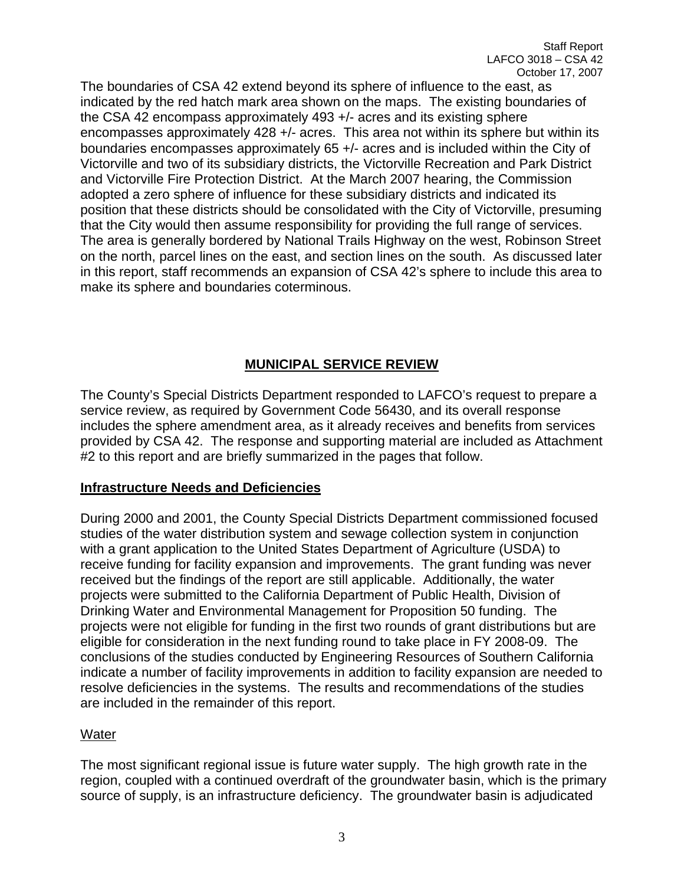The boundaries of CSA 42 extend beyond its sphere of influence to the east, as indicated by the red hatch mark area shown on the maps. The existing boundaries of the CSA 42 encompass approximately 493 +/- acres and its existing sphere encompasses approximately 428 +/- acres. This area not within its sphere but within its boundaries encompasses approximately 65 +/- acres and is included within the City of Victorville and two of its subsidiary districts, the Victorville Recreation and Park District and Victorville Fire Protection District. At the March 2007 hearing, the Commission adopted a zero sphere of influence for these subsidiary districts and indicated its position that these districts should be consolidated with the City of Victorville, presuming that the City would then assume responsibility for providing the full range of services. The area is generally bordered by National Trails Highway on the west, Robinson Street on the north, parcel lines on the east, and section lines on the south. As discussed later in this report, staff recommends an expansion of CSA 42's sphere to include this area to make its sphere and boundaries coterminous.

## **MUNICIPAL SERVICE REVIEW**

The County's Special Districts Department responded to LAFCO's request to prepare a service review, as required by Government Code 56430, and its overall response includes the sphere amendment area, as it already receives and benefits from services provided by CSA 42. The response and supporting material are included as Attachment #2 to this report and are briefly summarized in the pages that follow.

## **Infrastructure Needs and Deficiencies**

During 2000 and 2001, the County Special Districts Department commissioned focused studies of the water distribution system and sewage collection system in conjunction with a grant application to the United States Department of Agriculture (USDA) to receive funding for facility expansion and improvements. The grant funding was never received but the findings of the report are still applicable. Additionally, the water projects were submitted to the California Department of Public Health, Division of Drinking Water and Environmental Management for Proposition 50 funding. The projects were not eligible for funding in the first two rounds of grant distributions but are eligible for consideration in the next funding round to take place in FY 2008-09. The conclusions of the studies conducted by Engineering Resources of Southern California indicate a number of facility improvements in addition to facility expansion are needed to resolve deficiencies in the systems. The results and recommendations of the studies are included in the remainder of this report.

#### Water

The most significant regional issue is future water supply. The high growth rate in the region, coupled with a continued overdraft of the groundwater basin, which is the primary source of supply, is an infrastructure deficiency. The groundwater basin is adjudicated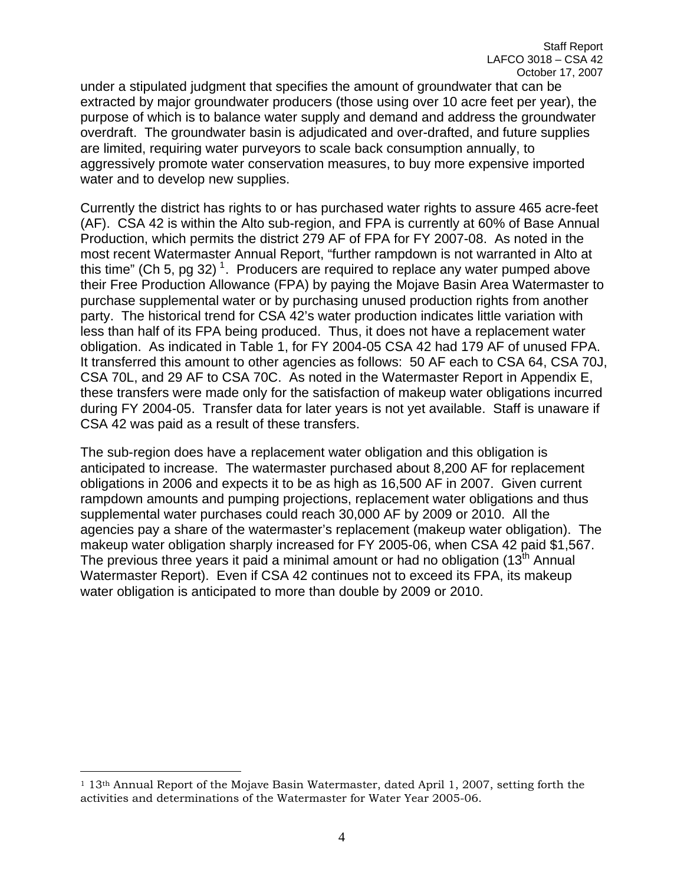under a stipulated judgment that specifies the amount of groundwater that can be extracted by major groundwater producers (those using over 10 acre feet per year), the purpose of which is to balance water supply and demand and address the groundwater overdraft. The groundwater basin is adjudicated and over-drafted, and future supplies are limited, requiring water purveyors to scale back consumption annually, to aggressively promote water conservation measures, to buy more expensive imported water and to develop new supplies.

Currently the district has rights to or has purchased water rights to assure 465 acre-feet (AF). CSA 42 is within the Alto sub-region, and FPA is currently at 60% of Base Annual Production, which permits the district 279 AF of FPA for FY 2007-08. As noted in the most recent Watermaster Annual Report, "further rampdown is not warranted in Alto at this time" (Ch 5, pg 32)<sup>[1](#page-3-0)</sup>. Producers are required to replace any water pumped above their Free Production Allowance (FPA) by paying the Mojave Basin Area Watermaster to purchase supplemental water or by purchasing unused production rights from another party. The historical trend for CSA 42's water production indicates little variation with less than half of its FPA being produced. Thus, it does not have a replacement water obligation. As indicated in Table 1, for FY 2004-05 CSA 42 had 179 AF of unused FPA. It transferred this amount to other agencies as follows: 50 AF each to CSA 64, CSA 70J, CSA 70L, and 29 AF to CSA 70C. As noted in the Watermaster Report in Appendix E, these transfers were made only for the satisfaction of makeup water obligations incurred during FY 2004-05. Transfer data for later years is not yet available. Staff is unaware if CSA 42 was paid as a result of these transfers.

The sub-region does have a replacement water obligation and this obligation is anticipated to increase. The watermaster purchased about 8,200 AF for replacement obligations in 2006 and expects it to be as high as 16,500 AF in 2007. Given current rampdown amounts and pumping projections, replacement water obligations and thus supplemental water purchases could reach 30,000 AF by 2009 or 2010. All the agencies pay a share of the watermaster's replacement (makeup water obligation). The makeup water obligation sharply increased for FY 2005-06, when CSA 42 paid \$1,567. The previous three years it paid a minimal amount or had no obligation  $(13<sup>th</sup>$  Annual Watermaster Report). Even if CSA 42 continues not to exceed its FPA, its makeup water obligation is anticipated to more than double by 2009 or 2010.

<span id="page-3-0"></span> $\overline{a}$ 1 13th Annual Report of the Mojave Basin Watermaster, dated April 1, 2007, setting forth the activities and determinations of the Watermaster for Water Year 2005-06.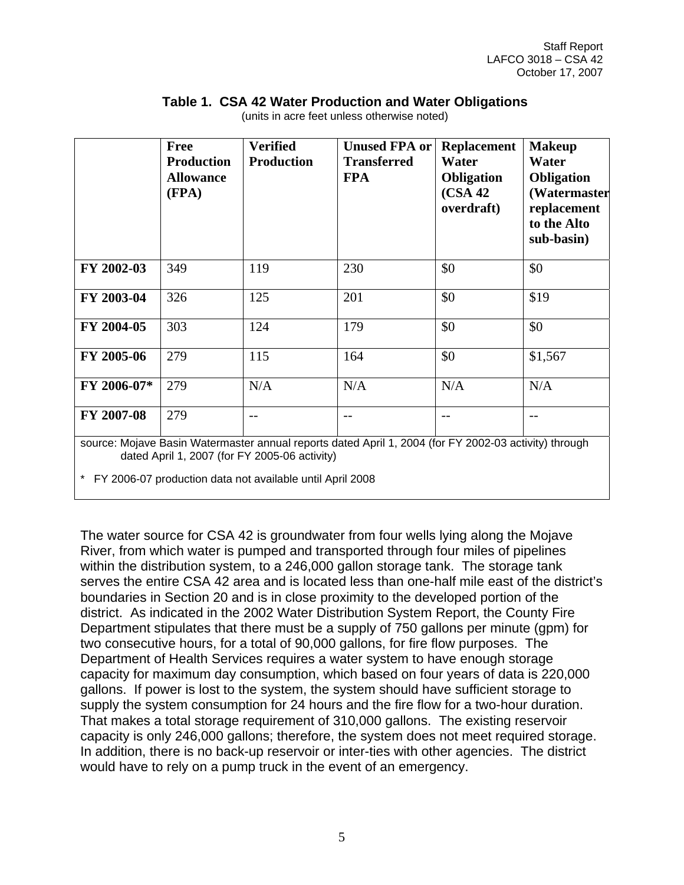|             | <b>Free</b><br><b>Production</b><br><b>Allowance</b><br>(FPA) | <b>Verified</b><br><b>Production</b>          | <b>Unused FPA or</b><br><b>Transferred</b><br><b>FPA</b>                                              | <b>Replacement</b><br>Water<br><b>Obligation</b><br>(CSA 42)<br>overdraft) | <b>Makeup</b><br>Water<br><b>Obligation</b><br>(Watermaster<br>replacement<br>to the Alto<br>sub-basin) |
|-------------|---------------------------------------------------------------|-----------------------------------------------|-------------------------------------------------------------------------------------------------------|----------------------------------------------------------------------------|---------------------------------------------------------------------------------------------------------|
| FY 2002-03  | 349                                                           | 119                                           | 230                                                                                                   | \$0                                                                        | \$0                                                                                                     |
| FY 2003-04  | 326                                                           | 125                                           | 201                                                                                                   | \$0                                                                        | \$19                                                                                                    |
| FY 2004-05  | 303                                                           | 124                                           | 179                                                                                                   | \$0                                                                        | \$0                                                                                                     |
| FY 2005-06  | 279                                                           | 115                                           | 164                                                                                                   | \$0                                                                        | \$1,567                                                                                                 |
| FY 2006-07* | 279                                                           | N/A                                           | N/A                                                                                                   | N/A                                                                        | N/A                                                                                                     |
| FY 2007-08  | 279                                                           |                                               | $ -$                                                                                                  |                                                                            | $-1$                                                                                                    |
|             |                                                               | dated April 1, 2007 (for FY 2005-06 activity) | source: Mojave Basin Watermaster annual reports dated April 1, 2004 (for FY 2002-03 activity) through |                                                                            |                                                                                                         |

#### **Table 1. CSA 42 Water Production and Water Obligations**

(units in acre feet unless otherwise noted)

\* FY 2006-07 production data not available until April 2008

The water source for CSA 42 is groundwater from four wells lying along the Mojave River, from which water is pumped and transported through four miles of pipelines within the distribution system, to a 246,000 gallon storage tank. The storage tank serves the entire CSA 42 area and is located less than one-half mile east of the district's boundaries in Section 20 and is in close proximity to the developed portion of the district. As indicated in the 2002 Water Distribution System Report, the County Fire Department stipulates that there must be a supply of 750 gallons per minute (gpm) for two consecutive hours, for a total of 90,000 gallons, for fire flow purposes. The Department of Health Services requires a water system to have enough storage capacity for maximum day consumption, which based on four years of data is 220,000 gallons. If power is lost to the system, the system should have sufficient storage to supply the system consumption for 24 hours and the fire flow for a two-hour duration. That makes a total storage requirement of 310,000 gallons. The existing reservoir capacity is only 246,000 gallons; therefore, the system does not meet required storage. In addition, there is no back-up reservoir or inter-ties with other agencies. The district would have to rely on a pump truck in the event of an emergency.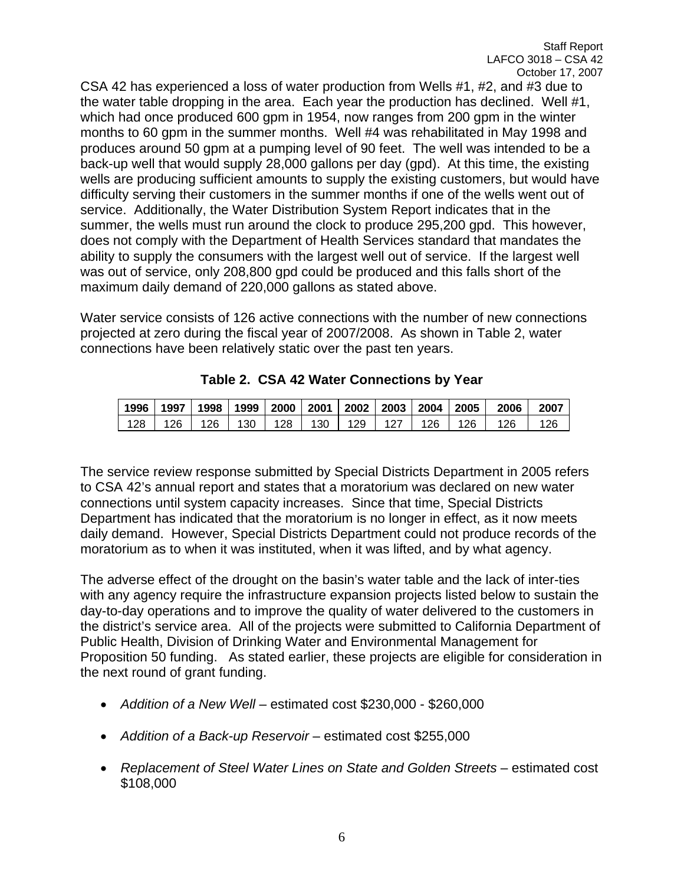CSA 42 has experienced a loss of water production from Wells #1, #2, and #3 due to the water table dropping in the area. Each year the production has declined. Well #1, which had once produced 600 gpm in 1954, now ranges from 200 gpm in the winter months to 60 gpm in the summer months. Well #4 was rehabilitated in May 1998 and produces around 50 gpm at a pumping level of 90 feet. The well was intended to be a back-up well that would supply 28,000 gallons per day (gpd). At this time, the existing wells are producing sufficient amounts to supply the existing customers, but would have difficulty serving their customers in the summer months if one of the wells went out of service. Additionally, the Water Distribution System Report indicates that in the summer, the wells must run around the clock to produce 295,200 gpd. This however, does not comply with the Department of Health Services standard that mandates the ability to supply the consumers with the largest well out of service. If the largest well was out of service, only 208,800 gpd could be produced and this falls short of the maximum daily demand of 220,000 gallons as stated above.

Water service consists of 126 active connections with the number of new connections projected at zero during the fiscal year of 2007/2008. As shown in Table 2, water connections have been relatively static over the past ten years.

| 1996 | 1997 | 1998 | 1999 | 2000 | 2001 | 2002 | 2003 | 2004 | 2005 | 2006 | 2007      |
|------|------|------|------|------|------|------|------|------|------|------|-----------|
| 128  | 26   | 26   | 130  | 128  | 130  | 129  | 127  | 126  | 126  | 126  | <b>26</b> |

**Table 2. CSA 42 Water Connections by Year** 

The service review response submitted by Special Districts Department in 2005 refers to CSA 42's annual report and states that a moratorium was declared on new water connections until system capacity increases. Since that time, Special Districts Department has indicated that the moratorium is no longer in effect, as it now meets daily demand. However, Special Districts Department could not produce records of the moratorium as to when it was instituted, when it was lifted, and by what agency.

The adverse effect of the drought on the basin's water table and the lack of inter-ties with any agency require the infrastructure expansion projects listed below to sustain the day-to-day operations and to improve the quality of water delivered to the customers in the district's service area. All of the projects were submitted to California Department of Public Health, Division of Drinking Water and Environmental Management for Proposition 50 funding. As stated earlier, these projects are eligible for consideration in the next round of grant funding.

- *Addition of a New Well* estimated cost \$230,000 \$260,000
- *Addition of a Back-up Reservoir* estimated cost \$255,000
- *Replacement of Steel Water Lines on State and Golden Streets* estimated cost \$108,000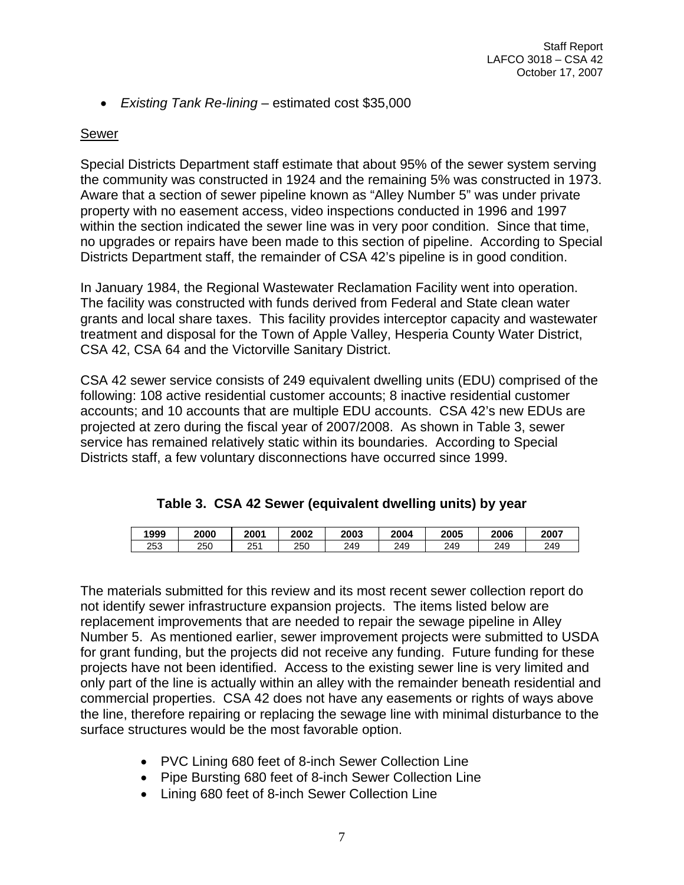• *Existing Tank Re-lining* – estimated cost \$35,000

#### Sewer

Special Districts Department staff estimate that about 95% of the sewer system serving the community was constructed in 1924 and the remaining 5% was constructed in 1973. Aware that a section of sewer pipeline known as "Alley Number 5" was under private property with no easement access, video inspections conducted in 1996 and 1997 within the section indicated the sewer line was in very poor condition. Since that time, no upgrades or repairs have been made to this section of pipeline. According to Special Districts Department staff, the remainder of CSA 42's pipeline is in good condition.

In January 1984, the Regional Wastewater Reclamation Facility went into operation. The facility was constructed with funds derived from Federal and State clean water grants and local share taxes. This facility provides interceptor capacity and wastewater treatment and disposal for the Town of Apple Valley, Hesperia County Water District, CSA 42, CSA 64 and the Victorville Sanitary District.

CSA 42 sewer service consists of 249 equivalent dwelling units (EDU) comprised of the following: 108 active residential customer accounts; 8 inactive residential customer accounts; and 10 accounts that are multiple EDU accounts. CSA 42's new EDUs are projected at zero during the fiscal year of 2007/2008. As shown in Table 3, sewer service has remained relatively static within its boundaries. According to Special Districts staff, a few voluntary disconnections have occurred since 1999.

|  |  |  | Table 3. CSA 42 Sewer (equivalent dwelling units) by year |  |  |  |
|--|--|--|-----------------------------------------------------------|--|--|--|
|--|--|--|-----------------------------------------------------------|--|--|--|

| 1999 | 2000 | 2001     | 2002 | 2003 | 2004 | 2005 | 2006 | 2007 |
|------|------|----------|------|------|------|------|------|------|
| 253  | 250  | つにィ<br>້ | 250  | 249  | 249  | 249  | 249  | 249  |

The materials submitted for this review and its most recent sewer collection report do not identify sewer infrastructure expansion projects. The items listed below are replacement improvements that are needed to repair the sewage pipeline in Alley Number 5. As mentioned earlier, sewer improvement projects were submitted to USDA for grant funding, but the projects did not receive any funding. Future funding for these projects have not been identified. Access to the existing sewer line is very limited and only part of the line is actually within an alley with the remainder beneath residential and commercial properties. CSA 42 does not have any easements or rights of ways above the line, therefore repairing or replacing the sewage line with minimal disturbance to the surface structures would be the most favorable option.

- PVC Lining 680 feet of 8-inch Sewer Collection Line
- Pipe Bursting 680 feet of 8-inch Sewer Collection Line
- Lining 680 feet of 8-inch Sewer Collection Line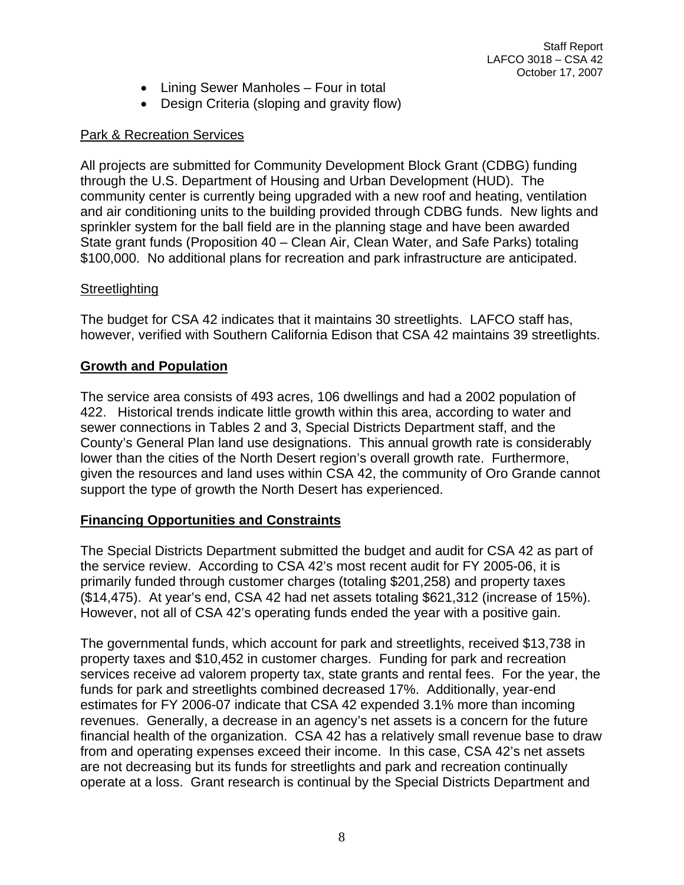- Lining Sewer Manholes Four in total
- Design Criteria (sloping and gravity flow)

## Park & Recreation Services

All projects are submitted for Community Development Block Grant (CDBG) funding through the U.S. Department of Housing and Urban Development (HUD). The community center is currently being upgraded with a new roof and heating, ventilation and air conditioning units to the building provided through CDBG funds. New lights and sprinkler system for the ball field are in the planning stage and have been awarded State grant funds (Proposition 40 – Clean Air, Clean Water, and Safe Parks) totaling \$100,000. No additional plans for recreation and park infrastructure are anticipated.

## **Streetlighting**

The budget for CSA 42 indicates that it maintains 30 streetlights. LAFCO staff has, however, verified with Southern California Edison that CSA 42 maintains 39 streetlights.

## **Growth and Population**

The service area consists of 493 acres, 106 dwellings and had a 2002 population of 422. Historical trends indicate little growth within this area, according to water and sewer connections in Tables 2 and 3, Special Districts Department staff, and the County's General Plan land use designations. This annual growth rate is considerably lower than the cities of the North Desert region's overall growth rate. Furthermore, given the resources and land uses within CSA 42, the community of Oro Grande cannot support the type of growth the North Desert has experienced.

## **Financing Opportunities and Constraints**

The Special Districts Department submitted the budget and audit for CSA 42 as part of the service review. According to CSA 42's most recent audit for FY 2005-06, it is primarily funded through customer charges (totaling \$201,258) and property taxes (\$14,475). At year's end, CSA 42 had net assets totaling \$621,312 (increase of 15%). However, not all of CSA 42's operating funds ended the year with a positive gain.

The governmental funds, which account for park and streetlights, received \$13,738 in property taxes and \$10,452 in customer charges. Funding for park and recreation services receive ad valorem property tax, state grants and rental fees. For the year, the funds for park and streetlights combined decreased 17%. Additionally, year-end estimates for FY 2006-07 indicate that CSA 42 expended 3.1% more than incoming revenues. Generally, a decrease in an agency's net assets is a concern for the future financial health of the organization. CSA 42 has a relatively small revenue base to draw from and operating expenses exceed their income. In this case, CSA 42's net assets are not decreasing but its funds for streetlights and park and recreation continually operate at a loss. Grant research is continual by the Special Districts Department and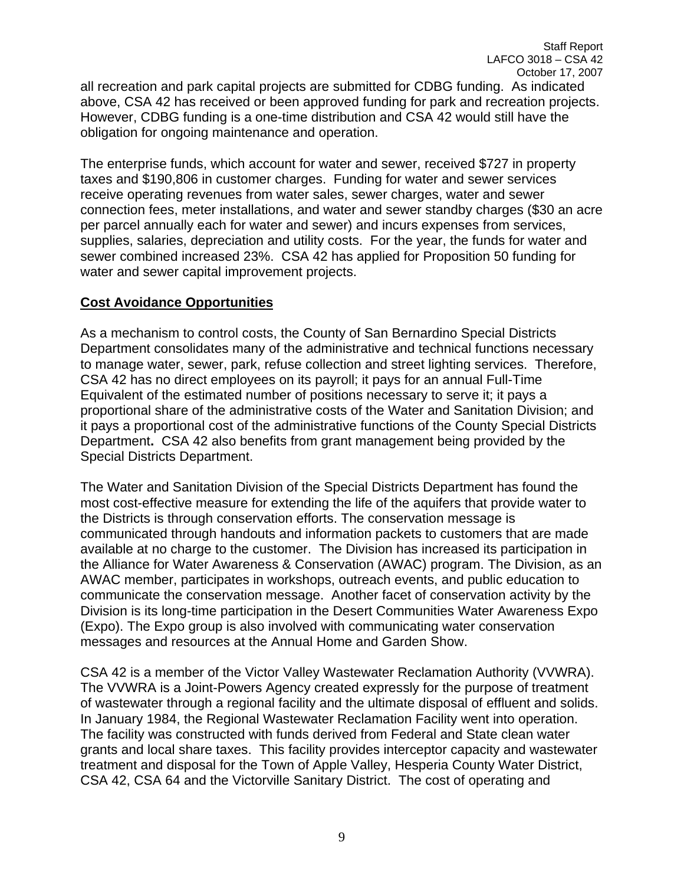all recreation and park capital projects are submitted for CDBG funding. As indicated above, CSA 42 has received or been approved funding for park and recreation projects. However, CDBG funding is a one-time distribution and CSA 42 would still have the obligation for ongoing maintenance and operation.

The enterprise funds, which account for water and sewer, received \$727 in property taxes and \$190,806 in customer charges. Funding for water and sewer services receive operating revenues from water sales, sewer charges, water and sewer connection fees, meter installations, and water and sewer standby charges (\$30 an acre per parcel annually each for water and sewer) and incurs expenses from services, supplies, salaries, depreciation and utility costs. For the year, the funds for water and sewer combined increased 23%. CSA 42 has applied for Proposition 50 funding for water and sewer capital improvement projects.

### **Cost Avoidance Opportunities**

As a mechanism to control costs, the County of San Bernardino Special Districts Department consolidates many of the administrative and technical functions necessary to manage water, sewer, park, refuse collection and street lighting services. Therefore, CSA 42 has no direct employees on its payroll; it pays for an annual Full-Time Equivalent of the estimated number of positions necessary to serve it; it pays a proportional share of the administrative costs of the Water and Sanitation Division; and it pays a proportional cost of the administrative functions of the County Special Districts Department**.** CSA 42 also benefits from grant management being provided by the Special Districts Department.

The Water and Sanitation Division of the Special Districts Department has found the most cost-effective measure for extending the life of the aquifers that provide water to the Districts is through conservation efforts. The conservation message is communicated through handouts and information packets to customers that are made available at no charge to the customer. The Division has increased its participation in the Alliance for Water Awareness & Conservation (AWAC) program. The Division, as an AWAC member, participates in workshops, outreach events, and public education to communicate the conservation message. Another facet of conservation activity by the Division is its long-time participation in the Desert Communities Water Awareness Expo (Expo). The Expo group is also involved with communicating water conservation messages and resources at the Annual Home and Garden Show.

CSA 42 is a member of the Victor Valley Wastewater Reclamation Authority (VVWRA). The VVWRA is a Joint-Powers Agency created expressly for the purpose of treatment of wastewater through a regional facility and the ultimate disposal of effluent and solids. In January 1984, the Regional Wastewater Reclamation Facility went into operation. The facility was constructed with funds derived from Federal and State clean water grants and local share taxes. This facility provides interceptor capacity and wastewater treatment and disposal for the Town of Apple Valley, Hesperia County Water District, CSA 42, CSA 64 and the Victorville Sanitary District.The cost of operating and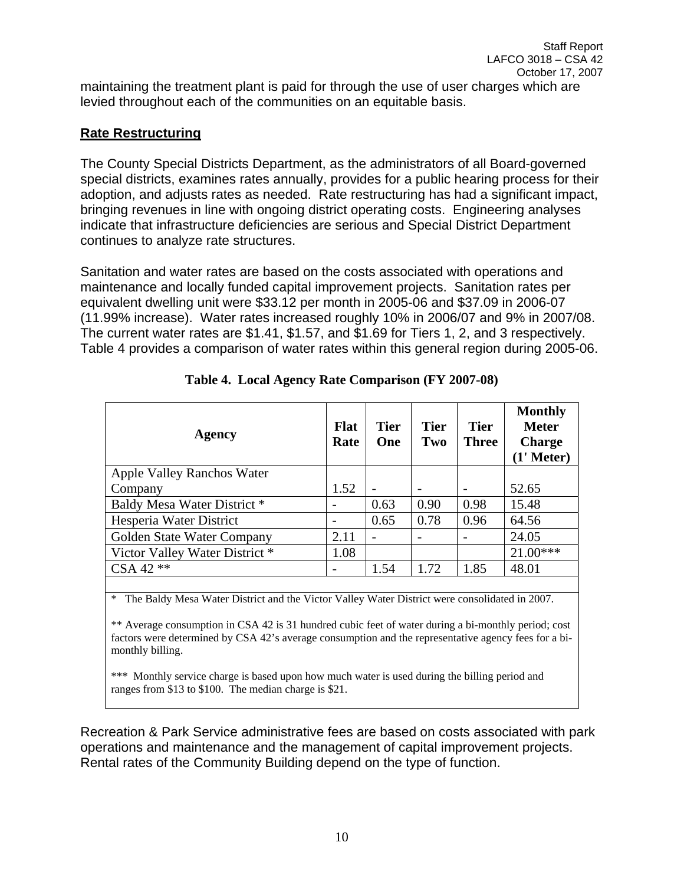maintaining the treatment plant is paid for through the use of user charges which are levied throughout each of the communities on an equitable basis.

## **Rate Restructuring**

The County Special Districts Department, as the administrators of all Board-governed special districts, examines rates annually, provides for a public hearing process for their adoption, and adjusts rates as needed. Rate restructuring has had a significant impact, bringing revenues in line with ongoing district operating costs. Engineering analyses indicate that infrastructure deficiencies are serious and Special District Department continues to analyze rate structures.

Sanitation and water rates are based on the costs associated with operations and maintenance and locally funded capital improvement projects. Sanitation rates per equivalent dwelling unit were \$33.12 per month in 2005-06 and \$37.09 in 2006-07 (11.99% increase). Water rates increased roughly 10% in 2006/07 and 9% in 2007/08. The current water rates are \$1.41, \$1.57, and \$1.69 for Tiers 1, 2, and 3 respectively. Table 4 provides a comparison of water rates within this general region during 2005-06.

| <b>Agency</b>                  | <b>Flat</b><br>Rate | <b>Tier</b><br>One       | <b>Tier</b><br>Two | <b>Tier</b><br><b>Three</b> | <b>Monthly</b><br><b>Meter</b><br><b>Charge</b><br>$(1'$ Meter) |
|--------------------------------|---------------------|--------------------------|--------------------|-----------------------------|-----------------------------------------------------------------|
| Apple Valley Ranchos Water     |                     |                          |                    |                             |                                                                 |
| Company                        | 1.52                | $\overline{\phantom{a}}$ |                    |                             | 52.65                                                           |
| Baldy Mesa Water District *    |                     | 0.63                     | 0.90               | 0.98                        | 15.48                                                           |
| Hesperia Water District        |                     | 0.65                     | 0.78               | 0.96                        | 64.56                                                           |
| Golden State Water Company     | 2.11                | $\overline{\phantom{0}}$ |                    |                             | 24.05                                                           |
| Victor Valley Water District * | 1.08                |                          |                    |                             | $21.00***$                                                      |
| CSA 42 **                      |                     | 1.54                     | 1.72               | 1.85                        | 48.01                                                           |
|                                |                     |                          |                    |                             |                                                                 |

|  | Table 4. Local Agency Rate Comparison (FY 2007-08) |  |  |  |
|--|----------------------------------------------------|--|--|--|
|--|----------------------------------------------------|--|--|--|

\* The Baldy Mesa Water District and the Victor Valley Water District were consolidated in 2007.

\*\* Average consumption in CSA 42 is 31 hundred cubic feet of water during a bi-monthly period; cost factors were determined by CSA 42's average consumption and the representative agency fees for a bimonthly billing.

\*\*\* Monthly service charge is based upon how much water is used during the billing period and ranges from \$13 to \$100. The median charge is \$21.

Recreation & Park Service administrative fees are based on costs associated with park operations and maintenance and the management of capital improvement projects. Rental rates of the Community Building depend on the type of function.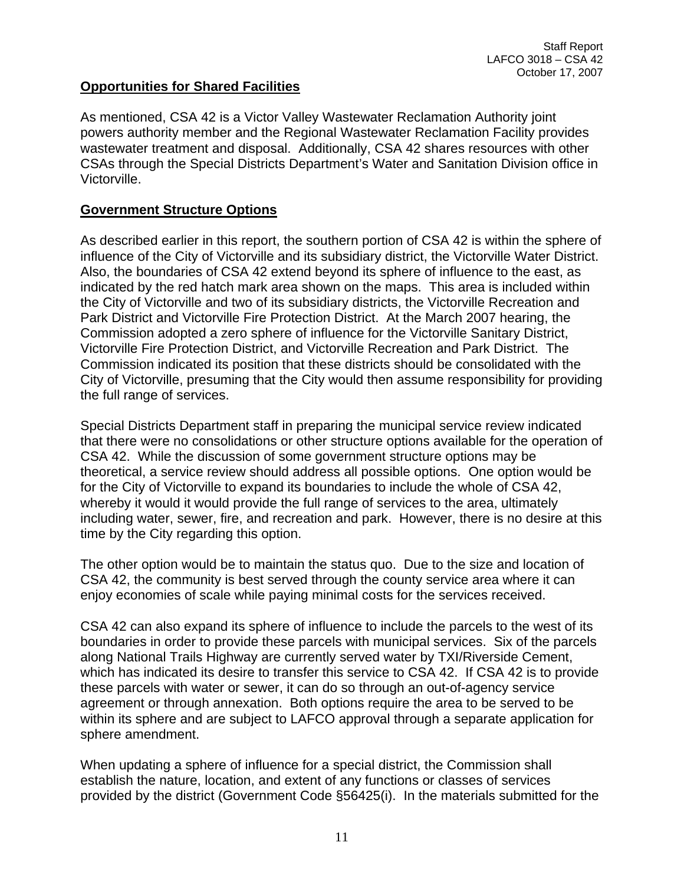### **Opportunities for Shared Facilities**

As mentioned, CSA 42 is a Victor Valley Wastewater Reclamation Authority joint powers authority member and the Regional Wastewater Reclamation Facility provides wastewater treatment and disposal. Additionally, CSA 42 shares resources with other CSAs through the Special Districts Department's Water and Sanitation Division office in Victorville.

#### **Government Structure Options**

As described earlier in this report, the southern portion of CSA 42 is within the sphere of influence of the City of Victorville and its subsidiary district, the Victorville Water District. Also, the boundaries of CSA 42 extend beyond its sphere of influence to the east, as indicated by the red hatch mark area shown on the maps. This area is included within the City of Victorville and two of its subsidiary districts, the Victorville Recreation and Park District and Victorville Fire Protection District. At the March 2007 hearing, the Commission adopted a zero sphere of influence for the Victorville Sanitary District, Victorville Fire Protection District, and Victorville Recreation and Park District. The Commission indicated its position that these districts should be consolidated with the City of Victorville, presuming that the City would then assume responsibility for providing the full range of services.

Special Districts Department staff in preparing the municipal service review indicated that there were no consolidations or other structure options available for the operation of CSA 42. While the discussion of some government structure options may be theoretical, a service review should address all possible options. One option would be for the City of Victorville to expand its boundaries to include the whole of CSA 42, whereby it would it would provide the full range of services to the area, ultimately including water, sewer, fire, and recreation and park. However, there is no desire at this time by the City regarding this option.

The other option would be to maintain the status quo. Due to the size and location of CSA 42, the community is best served through the county service area where it can enjoy economies of scale while paying minimal costs for the services received.

CSA 42 can also expand its sphere of influence to include the parcels to the west of its boundaries in order to provide these parcels with municipal services. Six of the parcels along National Trails Highway are currently served water by TXI/Riverside Cement, which has indicated its desire to transfer this service to CSA 42. If CSA 42 is to provide these parcels with water or sewer, it can do so through an out-of-agency service agreement or through annexation. Both options require the area to be served to be within its sphere and are subject to LAFCO approval through a separate application for sphere amendment.

When updating a sphere of influence for a special district, the Commission shall establish the nature, location, and extent of any functions or classes of services provided by the district (Government Code §56425(i). In the materials submitted for the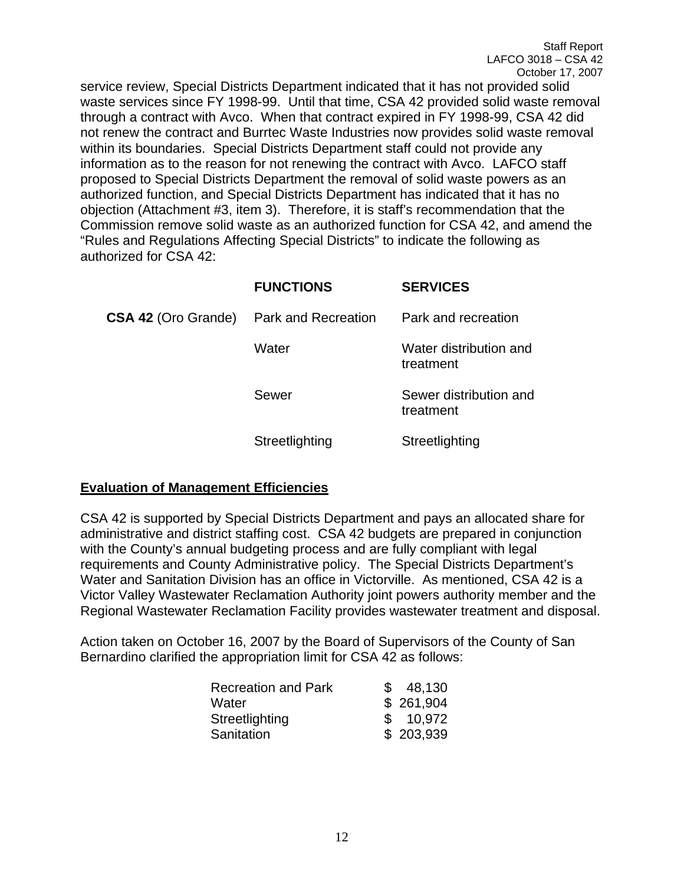service review, Special Districts Department indicated that it has not provided solid waste services since FY 1998-99. Until that time, CSA 42 provided solid waste removal through a contract with Avco. When that contract expired in FY 1998-99, CSA 42 did not renew the contract and Burrtec Waste Industries now provides solid waste removal within its boundaries. Special Districts Department staff could not provide any information as to the reason for not renewing the contract with Avco. LAFCO staff proposed to Special Districts Department the removal of solid waste powers as an authorized function, and Special Districts Department has indicated that it has no objection (Attachment #3, item 3). Therefore, it is staff's recommendation that the Commission remove solid waste as an authorized function for CSA 42, and amend the "Rules and Regulations Affecting Special Districts" to indicate the following as authorized for CSA 42:

|                            | <b>FUNCTIONS</b>    | <b>SERVICES</b>                     |
|----------------------------|---------------------|-------------------------------------|
| <b>CSA 42 (Oro Grande)</b> | Park and Recreation | Park and recreation                 |
|                            | Water               | Water distribution and<br>treatment |
|                            | Sewer               | Sewer distribution and<br>treatment |
|                            | Streetlighting      | Streetlighting                      |

#### **Evaluation of Management Efficiencies**

CSA 42 is supported by Special Districts Department and pays an allocated share for administrative and district staffing cost. CSA 42 budgets are prepared in conjunction with the County's annual budgeting process and are fully compliant with legal requirements and County Administrative policy. The Special Districts Department's Water and Sanitation Division has an office in Victorville. As mentioned, CSA 42 is a Victor Valley Wastewater Reclamation Authority joint powers authority member and the Regional Wastewater Reclamation Facility provides wastewater treatment and disposal.

Action taken on October 16, 2007 by the Board of Supervisors of the County of San Bernardino clarified the appropriation limit for CSA 42 as follows:

| <b>Recreation and Park</b> | SS. | 48,130    |
|----------------------------|-----|-----------|
| Water                      |     | \$261,904 |
| Streetlighting             |     | \$10,972  |
| Sanitation                 |     | \$203,939 |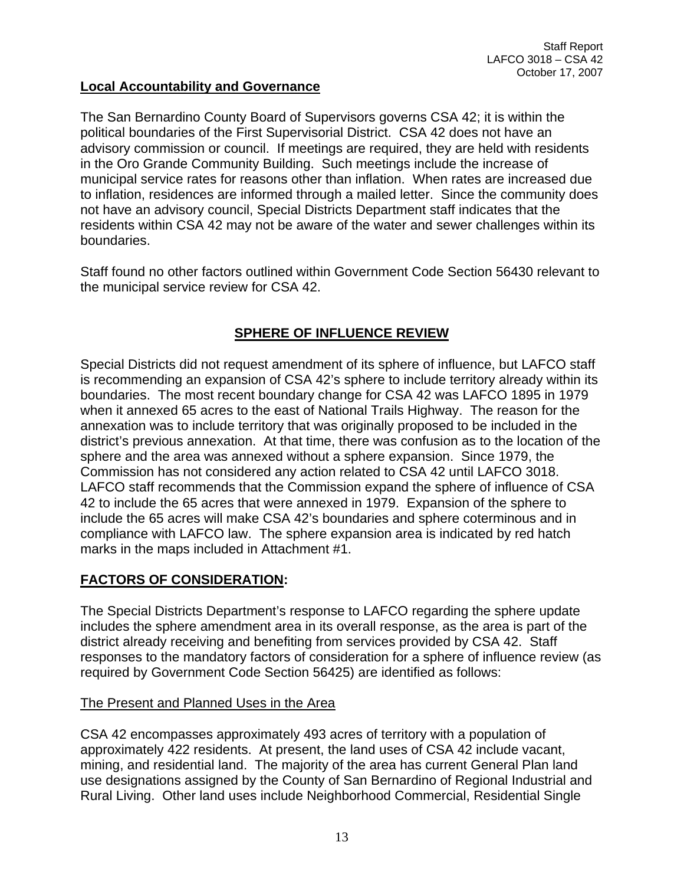### **Local Accountability and Governance**

The San Bernardino County Board of Supervisors governs CSA 42; it is within the political boundaries of the First Supervisorial District. CSA 42 does not have an advisory commission or council. If meetings are required, they are held with residents in the Oro Grande Community Building. Such meetings include the increase of municipal service rates for reasons other than inflation. When rates are increased due to inflation, residences are informed through a mailed letter. Since the community does not have an advisory council, Special Districts Department staff indicates that the residents within CSA 42 may not be aware of the water and sewer challenges within its boundaries.

Staff found no other factors outlined within Government Code Section 56430 relevant to the municipal service review for CSA 42.

## **SPHERE OF INFLUENCE REVIEW**

Special Districts did not request amendment of its sphere of influence, but LAFCO staff is recommending an expansion of CSA 42's sphere to include territory already within its boundaries. The most recent boundary change for CSA 42 was LAFCO 1895 in 1979 when it annexed 65 acres to the east of National Trails Highway. The reason for the annexation was to include territory that was originally proposed to be included in the district's previous annexation. At that time, there was confusion as to the location of the sphere and the area was annexed without a sphere expansion. Since 1979, the Commission has not considered any action related to CSA 42 until LAFCO 3018. LAFCO staff recommends that the Commission expand the sphere of influence of CSA 42 to include the 65 acres that were annexed in 1979. Expansion of the sphere to include the 65 acres will make CSA 42's boundaries and sphere coterminous and in compliance with LAFCO law. The sphere expansion area is indicated by red hatch marks in the maps included in Attachment #1.

## **FACTORS OF CONSIDERATION:**

The Special Districts Department's response to LAFCO regarding the sphere update includes the sphere amendment area in its overall response, as the area is part of the district already receiving and benefiting from services provided by CSA 42. Staff responses to the mandatory factors of consideration for a sphere of influence review (as required by Government Code Section 56425) are identified as follows:

#### The Present and Planned Uses in the Area

CSA 42 encompasses approximately 493 acres of territory with a population of approximately 422 residents. At present, the land uses of CSA 42 include vacant, mining, and residential land. The majority of the area has current General Plan land use designations assigned by the County of San Bernardino of Regional Industrial and Rural Living. Other land uses include Neighborhood Commercial, Residential Single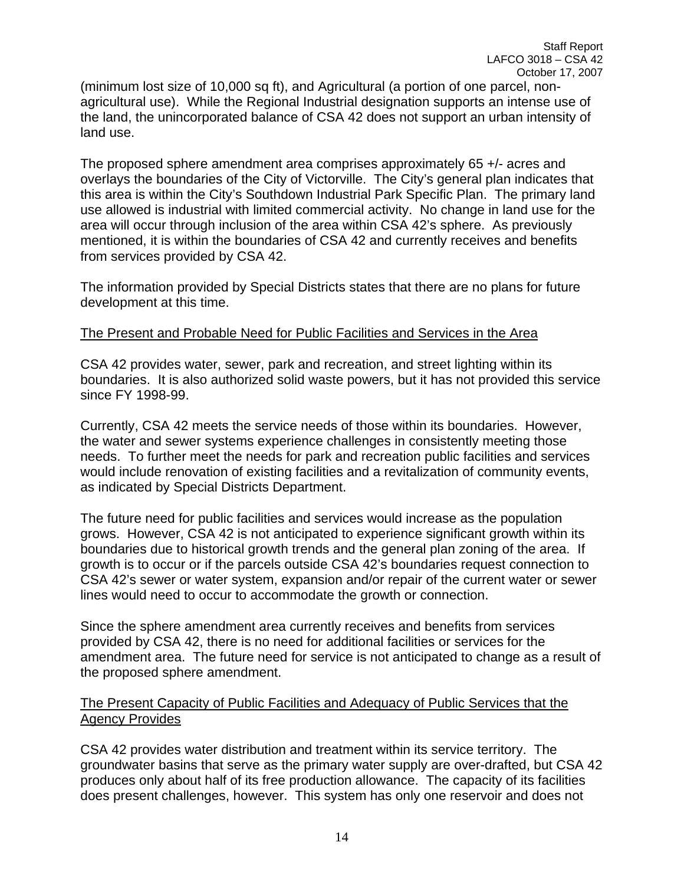(minimum lost size of 10,000 sq ft), and Agricultural (a portion of one parcel, nonagricultural use). While the Regional Industrial designation supports an intense use of the land, the unincorporated balance of CSA 42 does not support an urban intensity of land use.

The proposed sphere amendment area comprises approximately 65 +/- acres and overlays the boundaries of the City of Victorville. The City's general plan indicates that this area is within the City's Southdown Industrial Park Specific Plan. The primary land use allowed is industrial with limited commercial activity. No change in land use for the area will occur through inclusion of the area within CSA 42's sphere. As previously mentioned, it is within the boundaries of CSA 42 and currently receives and benefits from services provided by CSA 42.

The information provided by Special Districts states that there are no plans for future development at this time.

#### The Present and Probable Need for Public Facilities and Services in the Area

CSA 42 provides water, sewer, park and recreation, and street lighting within its boundaries. It is also authorized solid waste powers, but it has not provided this service since FY 1998-99.

Currently, CSA 42 meets the service needs of those within its boundaries. However, the water and sewer systems experience challenges in consistently meeting those needs. To further meet the needs for park and recreation public facilities and services would include renovation of existing facilities and a revitalization of community events, as indicated by Special Districts Department.

The future need for public facilities and services would increase as the population grows. However, CSA 42 is not anticipated to experience significant growth within its boundaries due to historical growth trends and the general plan zoning of the area. If growth is to occur or if the parcels outside CSA 42's boundaries request connection to CSA 42's sewer or water system, expansion and/or repair of the current water or sewer lines would need to occur to accommodate the growth or connection.

Since the sphere amendment area currently receives and benefits from services provided by CSA 42, there is no need for additional facilities or services for the amendment area. The future need for service is not anticipated to change as a result of the proposed sphere amendment.

#### The Present Capacity of Public Facilities and Adequacy of Public Services that the Agency Provides

CSA 42 provides water distribution and treatment within its service territory. The groundwater basins that serve as the primary water supply are over-drafted, but CSA 42 produces only about half of its free production allowance. The capacity of its facilities does present challenges, however. This system has only one reservoir and does not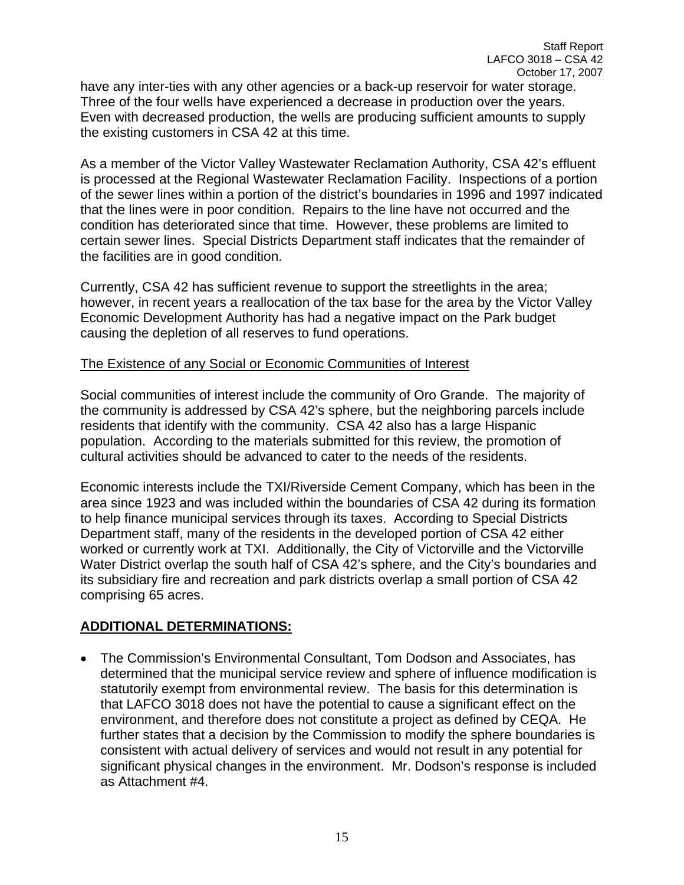have any inter-ties with any other agencies or a back-up reservoir for water storage. Three of the four wells have experienced a decrease in production over the years. Even with decreased production, the wells are producing sufficient amounts to supply the existing customers in CSA 42 at this time.

As a member of the Victor Valley Wastewater Reclamation Authority, CSA 42's effluent is processed at the Regional Wastewater Reclamation Facility. Inspections of a portion of the sewer lines within a portion of the district's boundaries in 1996 and 1997 indicated that the lines were in poor condition. Repairs to the line have not occurred and the condition has deteriorated since that time. However, these problems are limited to certain sewer lines. Special Districts Department staff indicates that the remainder of the facilities are in good condition.

Currently, CSA 42 has sufficient revenue to support the streetlights in the area; however, in recent years a reallocation of the tax base for the area by the Victor Valley Economic Development Authority has had a negative impact on the Park budget causing the depletion of all reserves to fund operations.

### The Existence of any Social or Economic Communities of Interest

Social communities of interest include the community of Oro Grande. The majority of the community is addressed by CSA 42's sphere, but the neighboring parcels include residents that identify with the community. CSA 42 also has a large Hispanic population. According to the materials submitted for this review, the promotion of cultural activities should be advanced to cater to the needs of the residents.

Economic interests include the TXI/Riverside Cement Company, which has been in the area since 1923 and was included within the boundaries of CSA 42 during its formation to help finance municipal services through its taxes. According to Special Districts Department staff, many of the residents in the developed portion of CSA 42 either worked or currently work at TXI. Additionally, the City of Victorville and the Victorville Water District overlap the south half of CSA 42's sphere, and the City's boundaries and its subsidiary fire and recreation and park districts overlap a small portion of CSA 42 comprising 65 acres.

## **ADDITIONAL DETERMINATIONS:**

• The Commission's Environmental Consultant, Tom Dodson and Associates, has determined that the municipal service review and sphere of influence modification is statutorily exempt from environmental review. The basis for this determination is that LAFCO 3018 does not have the potential to cause a significant effect on the environment, and therefore does not constitute a project as defined by CEQA. He further states that a decision by the Commission to modify the sphere boundaries is consistent with actual delivery of services and would not result in any potential for significant physical changes in the environment. Mr. Dodson's response is included as Attachment #4.